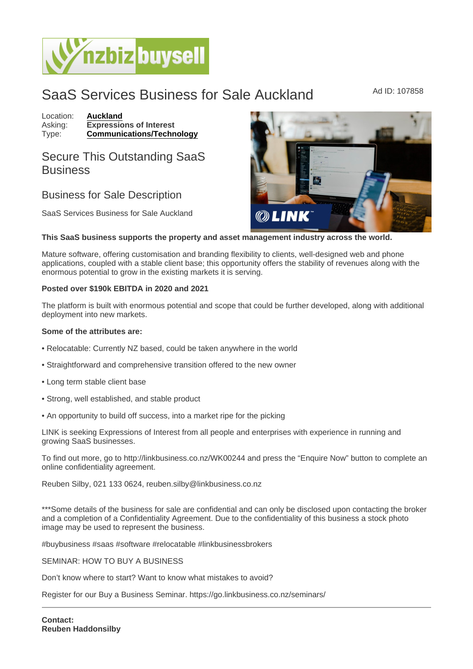## SaaS Services Business for Sale Auckland Ad ID: 107858

Location: [Auckland](https://www.nzbizbuysell.co.nz/businesses-for-sale/location/Auckland) Asking: Expressions of Interest<br>Type: Communications/Techn [Communications/Technology](https://www.nzbizbuysell.co.nz/businesses-for-sale/Communications--Technology/New-Zealand)

## Secure This Outstanding SaaS **Business**

## Business for Sale Description

SaaS Services Business for Sale Auckland

This SaaS business supports the property and asset management industry across the world.

Mature software, offering customisation and branding flexibility to clients, well-designed web and phone applications, coupled with a stable client base; this opportunity offers the stability of revenues along with the enormous potential to grow in the existing markets it is serving.

## Posted over \$190k EBITDA in 2020 and 2021

The platform is built with enormous potential and scope that could be further developed, along with additional deployment into new markets.

Some of the attributes are:

- Relocatable: Currently NZ based, could be taken anywhere in the world
- Straightforward and comprehensive transition offered to the new owner
- Long term stable client base
- Strong, well established, and stable product
- An opportunity to build off success, into a market ripe for the picking

LINK is seeking Expressions of Interest from all people and enterprises with experience in running and growing SaaS businesses.

To find out more, go to http://linkbusiness.co.nz/WK00244 and press the "Enquire Now" button to complete an online confidentiality agreement.

Reuben Silby, 021 133 0624, reuben.silby@linkbusiness.co.nz

\*\*\*Some details of the business for sale are confidential and can only be disclosed upon contacting the broker and a completion of a Confidentiality Agreement. Due to the confidentiality of this business a stock photo image may be used to represent the business.

#buybusiness #saas #software #relocatable #linkbusinessbrokers

SEMINAR: HOW TO BUY A BUSINESS

Don't know where to start? Want to know what mistakes to avoid?

Register for our Buy a Business Seminar. https://go.linkbusiness.co.nz/seminars/